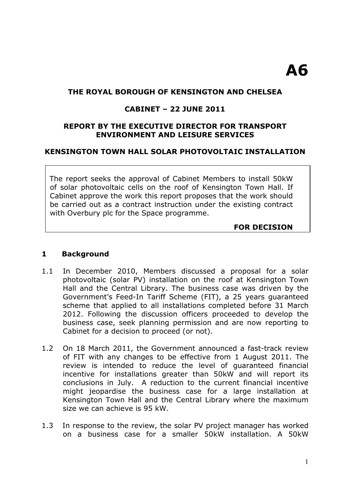### **THE ROYAL BOROUGH OF KENSINGTON AND CHELSEA**

#### **CABINET – 22 JUNE 2011**

#### **REPORT BY THE EXECUTIVE DIRECTOR FOR TRANSPORT ENVIRONMENT AND LEISURE SERVICES**

## **KENSINGTON TOWN HALL SOLAR PHOTOVOLTAIC INSTALLATION**

The report seeks the approval of Cabinet Members to install 50kW of solar photovoltaic cells on the roof of Kensington Town Hall. If Cabinet approve the work this report proposes that the work should be carried out as a contract instruction under the existing contract with Overbury plc for the Space programme.

#### **FOR DECISION**

#### **1 Background**

- 1.1 In December 2010, Members discussed a proposal for a solar photovoltaic (solar PV) installation on the roof at Kensington Town Hall and the Central Library. The business case was driven by the Government's Feed-In Tariff Scheme (FIT), a 25 years guaranteed scheme that applied to all installations completed before 31 March 2012. Following the discussion officers proceeded to develop the business case, seek planning permission and are now reporting to Cabinet for a decision to proceed (or not).
- 1.2 On 18 March 2011, the Government announced a fast-track review of FIT with any changes to be effective from 1 August 2011. The review is intended to reduce the level of guaranteed financial incentive for installations greater than 50kW and will report its conclusions in July. A reduction to the current financial incentive might jeopardise the business case for a large installation at Kensington Town Hall and the Central Library where the maximum size we can achieve is 95 kW.
- 1.3 In response to the review, the solar PV project manager has worked on a business case for a smaller 50kW installation. A 50kW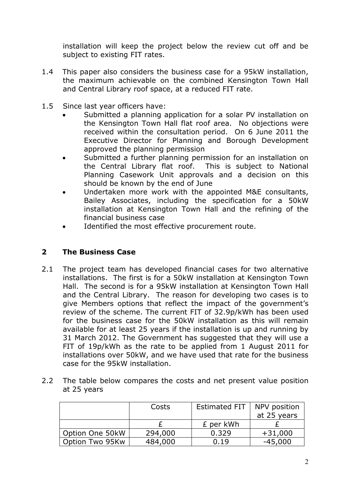installation will keep the project below the review cut off and be subject to existing FIT rates.

- 1.4 This paper also considers the business case for a 95kW installation, the maximum achievable on the combined Kensington Town Hall and Central Library roof space, at a reduced FIT rate.
- 1.5 Since last year officers have:
	- Submitted a planning application for a solar PV installation on the Kensington Town Hall flat roof area. No objections were received within the consultation period. On 6 June 2011 the Executive Director for Planning and Borough Development approved the planning permission
	- Submitted a further planning permission for an installation on the Central Library flat roof. This is subject to National Planning Casework Unit approvals and a decision on this should be known by the end of June
	- Undertaken more work with the appointed M&E consultants, Bailey Associates, including the specification for a 50kW installation at Kensington Town Hall and the refining of the financial business case
	- Identified the most effective procurement route.

## **2 The Business Case**

- 2.1 The project team has developed financial cases for two alternative installations. The first is for a 50kW installation at Kensington Town Hall. The second is for a 95kW installation at Kensington Town Hall and the Central Library. The reason for developing two cases is to give Members options that reflect the impact of the government's review of the scheme. The current FIT of 32.9p/kWh has been used for the business case for the 50kW installation as this will remain available for at least 25 years if the installation is up and running by 31 March 2012. The Government has suggested that they will use a FIT of 19p/kWh as the rate to be applied from 1 August 2011 for installations over 50kW, and we have used that rate for the business case for the 95kW installation.
- 2.2 The table below compares the costs and net present value position at 25 years

|                 | Costs   | <b>Estimated FIT</b> | NPV position |
|-----------------|---------|----------------------|--------------|
|                 |         |                      | at 25 years  |
|                 |         | £ per kWh            |              |
| Option One 50kW | 294,000 | 0.329                | $+31,000$    |
| Option Two 95Kw | 484,000 | 0.19                 | $-45,000$    |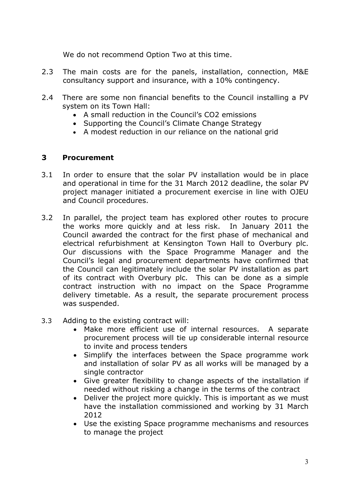We do not recommend Option Two at this time.

- 2.3 The main costs are for the panels, installation, connection, M&E consultancy support and insurance, with a 10% contingency.
- 2.4 There are some non financial benefits to the Council installing a PV system on its Town Hall:
	- A small reduction in the Council's CO2 emissions
	- Supporting the Council's Climate Change Strategy
	- A modest reduction in our reliance on the national grid

## **3 Procurement**

- 3.1 In order to ensure that the solar PV installation would be in place and operational in time for the 31 March 2012 deadline, the solar PV project manager initiated a procurement exercise in line with OJEU and Council procedures.
- 3.2 In parallel, the project team has explored other routes to procure the works more quickly and at less risk. In January 2011 the Council awarded the contract for the first phase of mechanical and electrical refurbishment at Kensington Town Hall to Overbury plc. Our discussions with the Space Programme Manager and the Council's legal and procurement departments have confirmed that the Council can legitimately include the solar PV installation as part of its contract with Overbury plc. This can be done as a simple contract instruction with no impact on the Space Programme delivery timetable. As a result, the separate procurement process was suspended.
- 3.3 Adding to the existing contract will:
	- Make more efficient use of internal resources. A separate procurement process will tie up considerable internal resource to invite and process tenders
	- Simplify the interfaces between the Space programme work and installation of solar PV as all works will be managed by a single contractor
	- Give greater flexibility to change aspects of the installation if needed without risking a change in the terms of the contract
	- Deliver the project more quickly. This is important as we must have the installation commissioned and working by 31 March 2012
	- Use the existing Space programme mechanisms and resources to manage the project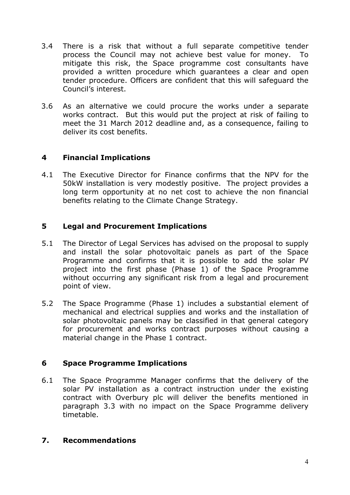- 3.4 There is a risk that without a full separate competitive tender process the Council may not achieve best value for money. To mitigate this risk, the Space programme cost consultants have provided a written procedure which guarantees a clear and open tender procedure. Officers are confident that this will safeguard the Council's interest.
- 3.6 As an alternative we could procure the works under a separate works contract. But this would put the project at risk of failing to meet the 31 March 2012 deadline and, as a consequence, failing to deliver its cost benefits.

# **4 Financial Implications**

4.1 The Executive Director for Finance confirms that the NPV for the 50kW installation is very modestly positive. The project provides a long term opportunity at no net cost to achieve the non financial benefits relating to the Climate Change Strategy.

# **5 Legal and Procurement Implications**

- 5.1 The Director of Legal Services has advised on the proposal to supply and install the solar photovoltaic panels as part of the Space Programme and confirms that it is possible to add the solar PV project into the first phase (Phase 1) of the Space Programme without occurring any significant risk from a legal and procurement point of view.
- 5.2 The Space Programme (Phase 1) includes a substantial element of mechanical and electrical supplies and works and the installation of solar photovoltaic panels may be classified in that general category for procurement and works contract purposes without causing a material change in the Phase 1 contract.

# **6 Space Programme Implications**

6.1 The Space Programme Manager confirms that the delivery of the solar PV installation as a contract instruction under the existing contract with Overbury plc will deliver the benefits mentioned in paragraph 3.3 with no impact on the Space Programme delivery timetable.

# **7. Recommendations**